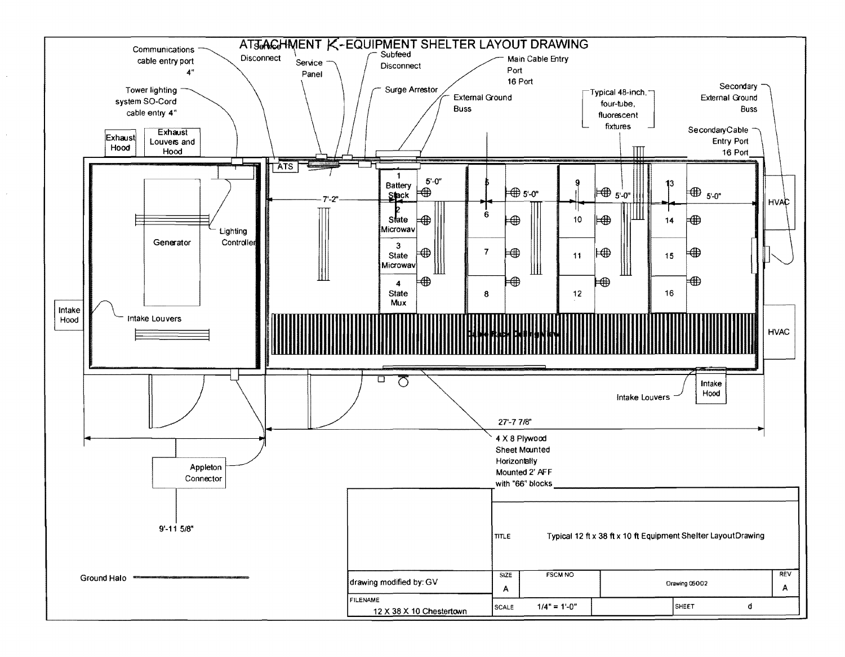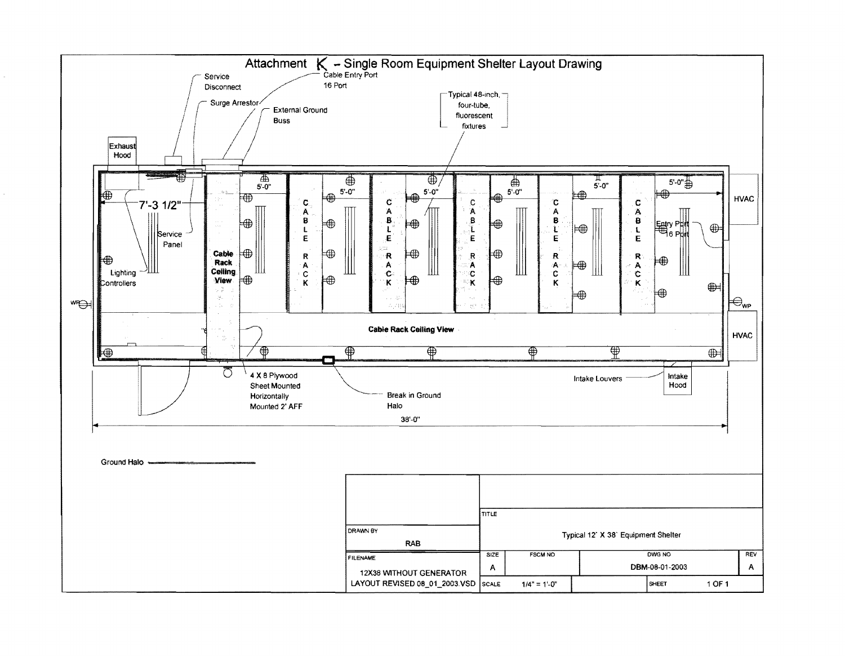